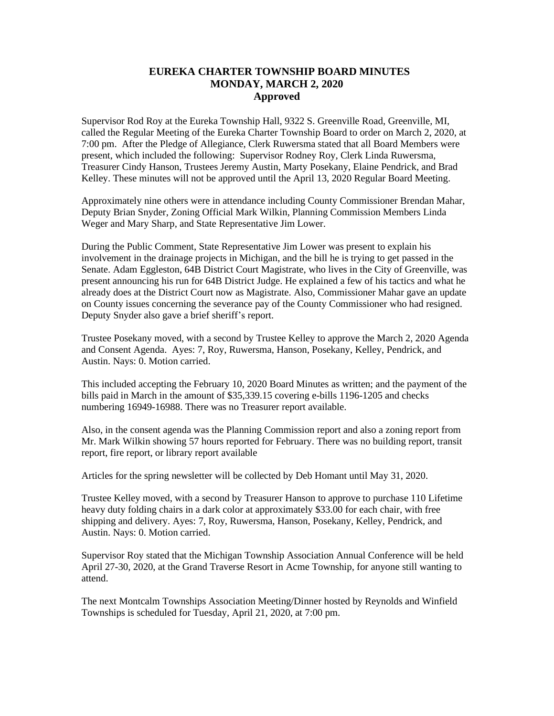## **EUREKA CHARTER TOWNSHIP BOARD MINUTES MONDAY, MARCH 2, 2020 Approved**

Supervisor Rod Roy at the Eureka Township Hall, 9322 S. Greenville Road, Greenville, MI, called the Regular Meeting of the Eureka Charter Township Board to order on March 2, 2020, at 7:00 pm. After the Pledge of Allegiance, Clerk Ruwersma stated that all Board Members were present, which included the following: Supervisor Rodney Roy, Clerk Linda Ruwersma, Treasurer Cindy Hanson, Trustees Jeremy Austin, Marty Posekany, Elaine Pendrick, and Brad Kelley. These minutes will not be approved until the April 13, 2020 Regular Board Meeting.

Approximately nine others were in attendance including County Commissioner Brendan Mahar, Deputy Brian Snyder, Zoning Official Mark Wilkin, Planning Commission Members Linda Weger and Mary Sharp, and State Representative Jim Lower.

During the Public Comment, State Representative Jim Lower was present to explain his involvement in the drainage projects in Michigan, and the bill he is trying to get passed in the Senate. Adam Eggleston, 64B District Court Magistrate, who lives in the City of Greenville, was present announcing his run for 64B District Judge. He explained a few of his tactics and what he already does at the District Court now as Magistrate. Also, Commissioner Mahar gave an update on County issues concerning the severance pay of the County Commissioner who had resigned. Deputy Snyder also gave a brief sheriff's report.

Trustee Posekany moved, with a second by Trustee Kelley to approve the March 2, 2020 Agenda and Consent Agenda. Ayes: 7, Roy, Ruwersma, Hanson, Posekany, Kelley, Pendrick, and Austin. Nays: 0. Motion carried.

This included accepting the February 10, 2020 Board Minutes as written; and the payment of the bills paid in March in the amount of \$35,339.15 covering e-bills 1196-1205 and checks numbering 16949-16988. There was no Treasurer report available.

Also, in the consent agenda was the Planning Commission report and also a zoning report from Mr. Mark Wilkin showing 57 hours reported for February. There was no building report, transit report, fire report, or library report available

Articles for the spring newsletter will be collected by Deb Homant until May 31, 2020.

Trustee Kelley moved, with a second by Treasurer Hanson to approve to purchase 110 Lifetime heavy duty folding chairs in a dark color at approximately \$33.00 for each chair, with free shipping and delivery. Ayes: 7, Roy, Ruwersma, Hanson, Posekany, Kelley, Pendrick, and Austin. Nays: 0. Motion carried.

Supervisor Roy stated that the Michigan Township Association Annual Conference will be held April 27-30, 2020, at the Grand Traverse Resort in Acme Township, for anyone still wanting to attend.

The next Montcalm Townships Association Meeting/Dinner hosted by Reynolds and Winfield Townships is scheduled for Tuesday, April 21, 2020, at 7:00 pm.